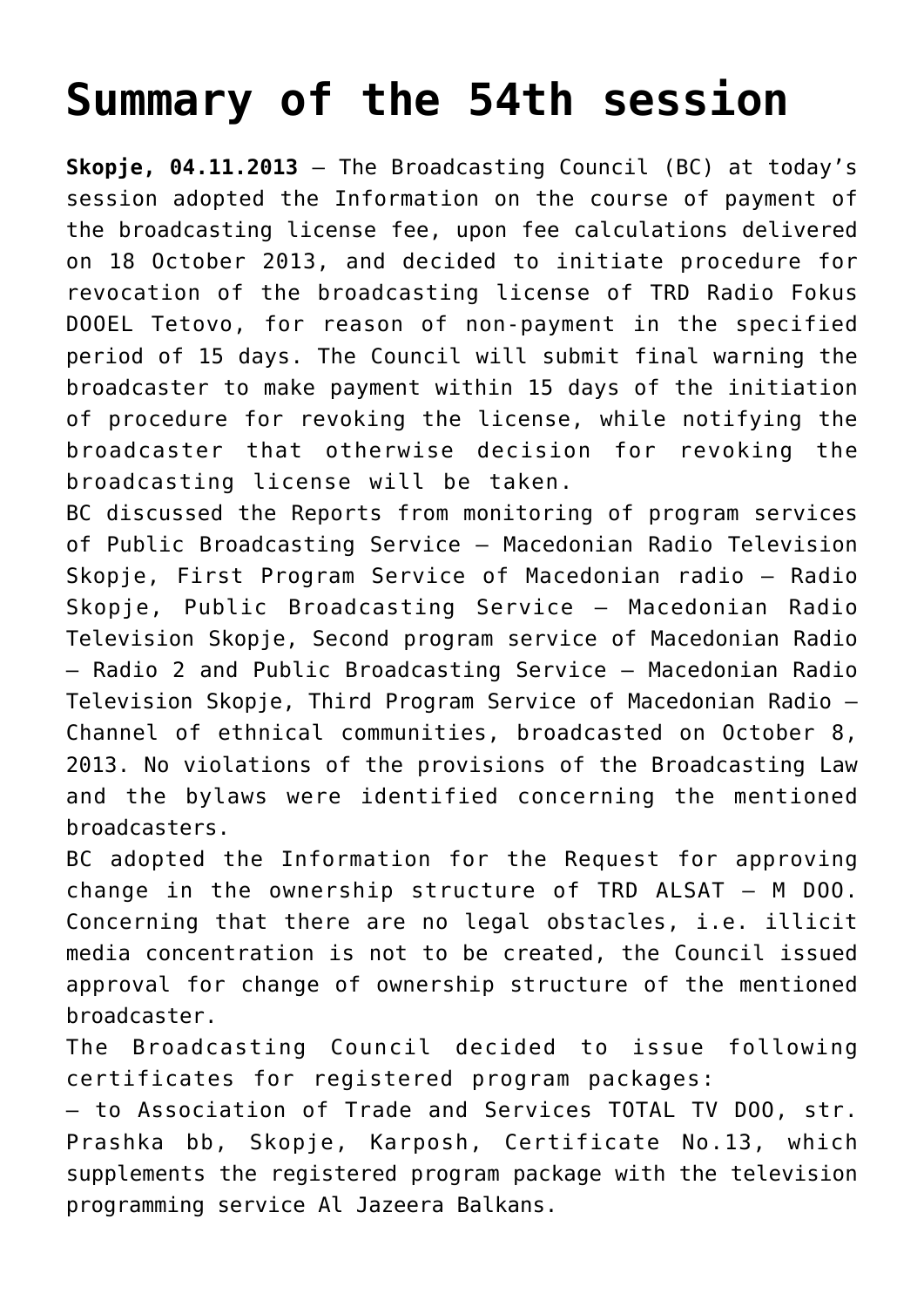## **[Summary of the 54th session](https://avmu.mk/en/summary-of-the-54th-session/)**

**Skopje, 04.11.2013** – The Broadcasting Council (BC) at today's session adopted the Information on the course of payment of the broadcasting license fee, upon fee calculations delivered on 18 October 2013, and decided to initiate procedure for revocation of the broadcasting license of TRD Radio Fokus DOOEL Tetovo, for reason of non-payment in the specified period of 15 days. The Council will submit final warning the broadcaster to make payment within 15 days of the initiation of procedure for revoking the license, while notifying the broadcaster that otherwise decision for revoking the broadcasting license will be taken.

BC discussed the Reports from monitoring of program services of Public Broadcasting Service – Macedonian Radio Television Skopje, First Program Service of Macedonian radio – Radio Skopje, Public Broadcasting Service – Macedonian Radio Television Skopje, Second program service of Macedonian Radio – Radio 2 and Public Broadcasting Service – Macedonian Radio Television Skopje, Third Program Service of Macedonian Radio – Channel of ethnical communities, broadcasted on October 8, 2013. No violations of the provisions of the Broadcasting Law and the bylaws were identified concerning the mentioned broadcasters.

BC adopted the Information for the Request for approving change in the ownership structure of TRD ALSAT – M DOO. Concerning that there are no legal obstacles, i.e. illicit media concentration is not to be created, the Council issued approval for change of ownership structure of the mentioned broadcaster.

The Broadcasting Council decided to issue following certificates for registered program packages:

– to Association of Trade and Services TOTAL TV DOO, str. Prashka bb, Skopje, Karposh, Certificate No.13, which supplements the registered program package with the television programming service Al Jazeera Balkans.